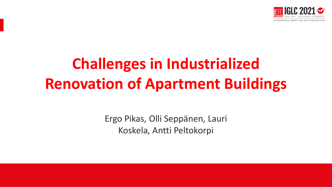

# **Challenges in Industrialized Renovation of Apartment Buildings**

Ergo Pikas, Olli Seppänen, Lauri Koskela, Antti Peltokorpi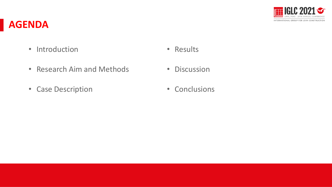

### **AGENDA**

- Introduction
- Research Aim and Methods
- Case Description
- Results
- Discussion
- Conclusions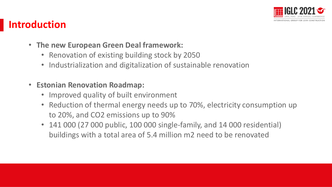

# **Introduction**

- **The new European Green Deal framework:**
	- Renovation of existing building stock by 2050
	- Industrialization and digitalization of sustainable renovation
- **Estonian Renovation Roadmap:**
	- Improved quality of built environment
	- Reduction of thermal energy needs up to 70%, electricity consumption up to 20%, and CO2 emissions up to 90%
	- 141 000 (27 000 public, 100 000 single-family, and 14 000 residential) buildings with a total area of 5.4 million m2 need to be renovated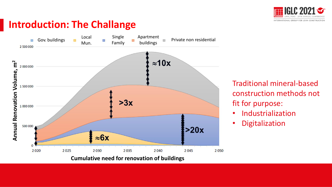

# **Introduction: The Challange**



fit for purpose: Traditional mineral-based construction methods not

- Industrialization
- Digitalization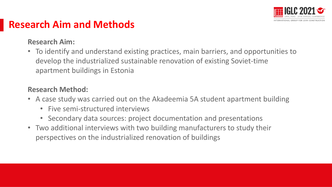

### **Research Aim and Methods**

#### **Research Aim:**

• To identify and understand existing practices, main barriers, and opportunities to develop the industrialized sustainable renovation of existing Soviet-time apartment buildings in Estonia

### **Research Method:**

- A case study was carried out on the Akadeemia 5A student apartment building Presentación
	- Five semi-structured interviews
	- Secondary data sources: project documentation and presentations
- Two additional interviews with two building manufacturers to study their perspectives on the industrialized renovation of buildings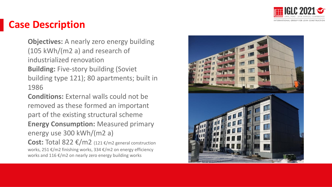

### **Case Description**

**Objectives:** A nearly zero energy building (105 kWh/(m2 a) and research of industrialized renovation **Building:** Five -story building (Soviet building type 121); 80 apartments; built in 1986

**Conditions:** External walls could not be removed as these formed an important part of the existing structural scheme **Energy Consumption:** Measured primary energy use 300 kWh/(m2 a)

**Cost:** Total 822 €/m2 (121 €/m2 general construction works, 251 €/m2 finishing works, 334 €/m2 on energy efficiency works and 116 €/m2 on nearly zero energy building works

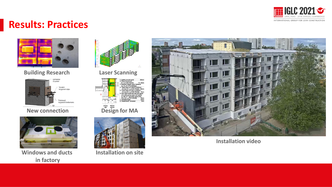

### **Results: Practices**



**Building Research Laser Scanning**



**New connection**<br> **New connection**<br> **Design for MA** 



**Windows and ducts Installation on site in factory**



xisting concrete pane External wood<br>
(A1;  $\lambda_0$ =0.035 W/(mK)) 10...50mm lir&vapor retarder (vap Z<sub>e</sub>=1.6...27×10<sup>9</sup> (m<sup>2</sup>sPa)/kg)<br>Timber frame 45×195mm cc.600mm / min.wool (A1;  $\lambda_0$ =0.035 W/(mK)) 195mm<br>Timber frame 45×70mm cc.600mm / min.wool (A1;  $\lambda_0$ =0.035 W/(mK)) 70mm<br>Semi-rigid mineral wool slab with special vind barrier facing (vapor permeability 8,=150×10<sup>-12</sup> kg/(msPa); taped<br>A2-s1,d0; λ<sub>0</sub>=0.031 W/(mK))





**Installation video**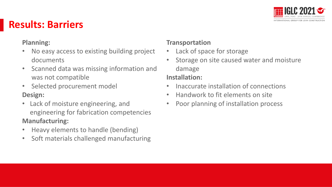

# **Results: Barriers**

#### **Planning:**

- No easy access to existing building project documents
- Scanned data was missing information and was not compatible
- Selected procurement model **Design:**
- Lack of moisture engineering, and engineering for fabrication competencies **Manufacturing:**
- Heavy elements to handle (bending)
- Soft materials challenged manufacturing

### **Transportation**

- Lack of space for storage
- Storage on site caused water and moisture damage **Installation:**
- Inaccurate installation of connections
- Handwork to fit elements on site
- Poor planning of installation process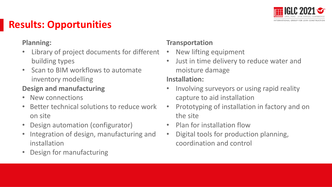

# **Results: Opportunities**

#### **Planning:**

- Library of project documents for different building types
- Scan to BIM workflows to automate inventory modelling

### **Design and manufacturing**

- New connections
- Better technical solutions to reduce work on site
- Design automation (configurator)
- Integration of design, manufacturing and installation
- Design for manufacturing

### **Transportation**

- New lifting equipment
- Just in time delivery to reduce water and moisture damage

### **Installation:**

- Involving surveyors or using rapid reality capture to aid installation
- Prototyping of installation in factory and on the site
- Plan for installation flow
- Digital tools for production planning, coordination and control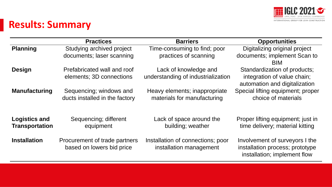

# **Results: Summary**

|                                               | <b>Practices</b>                                           | <b>Barriers</b>                                              | <b>Opportunities</b>                                                                              |
|-----------------------------------------------|------------------------------------------------------------|--------------------------------------------------------------|---------------------------------------------------------------------------------------------------|
| <b>Planning</b>                               | Studying archived project                                  | Time-consuming to find; poor                                 | Digitalizing original project                                                                     |
|                                               | documents; laser scanning                                  | practices of scanning                                        | documents; implement Scan to<br><b>BIM</b>                                                        |
| <b>Design</b>                                 | Prefabricated wall and roof                                | Lack of knowledge and                                        | Standardization of products;                                                                      |
|                                               | elements; 3D connections                                   | understanding of industrialization                           | integration of value chain;<br>automation and digitalization                                      |
| <b>Manufacturing</b>                          | Sequencing; windows and<br>ducts installed in the factory  | Heavy elements; inappropriate<br>materials for manufacturing | Special lifting equipment; proper<br>choice of materials                                          |
| <b>Logistics and</b><br><b>Transportation</b> | Sequencing; different<br>equipment                         | Lack of space around the<br>building; weather                | Proper lifting equipment; just in<br>time delivery; material kitting                              |
| <b>Installation</b>                           | Procurement of trade partners<br>based on lowers bid price | Installation of connections; poor<br>installation management | Involvement of surveyors I the<br>installation process; prototype<br>installation; implement flow |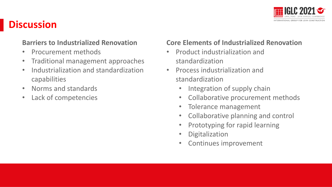

# **Discussion**

#### **Barriers to Industrialized Renovation**

- Procurement methods
- Traditional management approaches
- Industrialization and standardization capabilities
- Norms and standards
- Lack of competencies

### **Core Elements of Industrialized Renovation**

- Product industrialization and standardization
- Process industrialization and standardization
	- Integration of supply chain
	- Collaborative procurement methods
	- Tolerance management
	- Collaborative planning and control
	- Prototyping for rapid learning
	- Digitalization
	- Continues improvement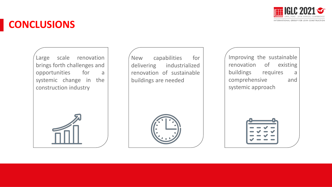

# **CONCLUSIONS**

Large scale renovation brings forth challenges and opportunities for a systemic change in the construction industry

New capabilities for delivering industrialized renovation of sustainable buildings are needed

Improving the sustainable renovation of existing buildings requires a comprehensive and systemic approach